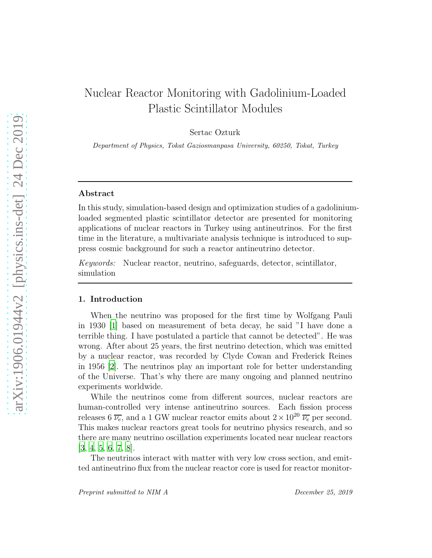# Nuclear Reactor Monitoring with Gadolinium-Loaded Plastic Scintillator Modules

Sertac Ozturk

Department of Physics, Tokat Gaziosmanpasa University, 60250, Tokat, Turkey

#### Abstract

In this study, simulation-based design and optimization studies of a gadoliniumloaded segmented plastic scintillator detector are presented for monitoring applications of nuclear reactors in Turkey using antineutrinos. For the first time in the literature, a multivariate analysis technique is introduced to suppress cosmic background for such a reactor antineutrino detector.

*Keywords:* Nuclear reactor, neutrino, safeguards, detector, scintillator, simulation

#### 1. Introduction

When the neutrino was proposed for the first time by Wolfgang Pauli in 1930 [\[1](#page-13-0)] based on measurement of beta decay, he said "I have done a terrible thing. I have postulated a particle that cannot be detected". He was wrong. After about 25 years, the first neutrino detection, which was emitted by a nuclear reactor, was recorded by Clyde Cowan and Frederick Reines in 1956 [\[2\]](#page-13-1). The neutrinos play an important role for better understanding of the Universe. That's why there are many ongoing and planned neutrino experiments worldwide.

While the neutrinos come from different sources, nuclear reactors are human-controlled very intense antineutrino sources. Each fission process releases 6  $\overline{\nu_e}$ , and a 1 GW nuclear reactor emits about  $2 \times 10^{20} \overline{\nu_e}$  per second. This makes nuclear reactors great tools for neutrino physics research, and so there are many neutrino oscillation experiments located near nuclear reactors [\[3,](#page-13-2) [4,](#page-13-3) [5,](#page-13-4) [6,](#page-13-5) [7,](#page-14-0) [8](#page-14-1)].

The neutrinos interact with matter with very low cross section, and emitted antineutrino flux from the nuclear reactor core is used for reactor monitor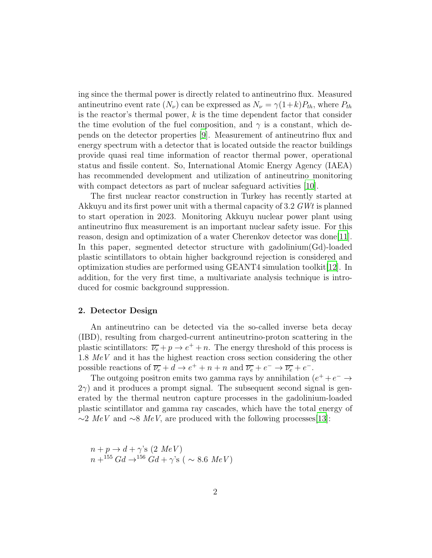ing since the thermal power is directly related to antineutrino flux. Measured antineutrino event rate  $(N_{\nu})$  can be expressed as  $N_{\nu} = \gamma (1+k) P_{th}$ , where  $P_{th}$ is the reactor's thermal power,  $k$  is the time dependent factor that consider the time evolution of the fuel composition, and  $\gamma$  is a constant, which depends on the detector properties [\[9\]](#page-14-2). Measurement of antineutrino flux and energy spectrum with a detector that is located outside the reactor buildings provide quasi real time information of reactor thermal power, operational status and fissile content. So, International Atomic Energy Agency (IAEA) has recommended development and utilization of antineutrino monitoring with compact detectors as part of nuclear safeguard activities [\[10](#page-14-3)].

The first nuclear reactor construction in Turkey has recently started at Akkuyu and its first power unit with a thermal capacity of 3.2 *GWt* is planned to start operation in 2023. Monitoring Akkuyu nuclear power plant using antineutrino flux measurement is an important nuclear safety issue. For this reason, design and optimization of a water Cherenkov detector was done[\[11\]](#page-14-4). In this paper, segmented detector structure with gadolinium(Gd)-loaded plastic scintillators to obtain higher background rejection is considered and optimization studies are performed using GEANT4 simulation toolkit $[12]$  $[12]$ . In addition, for the very first time, a multivariate analysis technique is introduced for cosmic background suppression.

## 2. Detector Design

An antineutrino can be detected via the so-called inverse beta decay (IBD), resulting from charged-current antineutrino-proton scattering in the plastic scintillators:  $\overline{\nu_e} + p \rightarrow e^+ + n$ . The energy threshold of this process is 1.8 *MeV* and it has the highest reaction cross section considering the other possible reactions of  $\overline{\nu_e} + d \rightarrow e^+ + n + n$  and  $\overline{\nu_e} + e^- \rightarrow \overline{\nu_e} + e^-$ .

The outgoing positron emits two gamma rays by annihilation  $(e^+ + e^- \rightarrow$  $2\gamma$ ) and it produces a prompt signal. The subsequent second signal is generated by the thermal neutron capture processes in the gadolinium-loaded plastic scintillator and gamma ray cascades, which have the total energy of  $\sim$ 2 *MeV* and  $\sim$ 8 *MeV*, are produced with the following processes[\[13](#page-14-6)]:

 $n + p \rightarrow d + \gamma$ 's (2 *MeV*)  $n + {}^{155}Gd \rightarrow {}^{156}Gd + \gamma S$  ( ~ 8.6 MeV)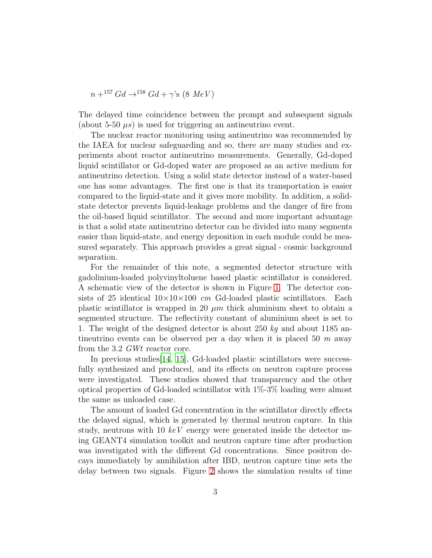$n + ^{157}Gd \rightarrow ^{158}Gd + \gamma$ 's (8 *MeV*)

The delayed time coincidence between the prompt and subsequent signals (about 5-50  $\mu s$ ) is used for triggering an antineutrino event.

The nuclear reactor monitoring using antineutrino was recommended by the IAEA for nuclear safeguarding and so, there are many studies and experiments about reactor antineutrino measurements. Generally, Gd-doped liquid scintillator or Gd-doped water are proposed as an active medium for antineutrino detection. Using a solid state detector instead of a water-based one has some advantages. The first one is that its transportation is easier compared to the liquid-state and it gives more mobility. In addition, a solidstate detector prevents liquid-leakage problems and the danger of fire from the oil-based liquid scintillator. The second and more important advantage is that a solid state antineutrino detector can be divided into many segments easier than liquid-state, and energy deposition in each module could be measured separately. This approach provides a great signal - cosmic background separation.

For the remainder of this note, a segmented detector structure with gadolinium-loaded polyvinyltoluene based plastic scintillator is considered. A schematic view of the detector is shown in Figure [1.](#page-3-0) The detector consists of 25 identical  $10\times10\times100$  *cm* Gd-loaded plastic scintillators. Each plastic scintillator is wrapped in 20  $\mu$ m thick aluminium sheet to obtain a segmented structure. The reflectivity constant of aluminium sheet is set to 1. The weight of the designed detector is about 250 *kg* and about 1185 antineutrino events can be observed per a day when it is placed 50 *m* away from the 3.2 *GWt* reactor core.

In previous studies[\[14](#page-14-7), [15](#page-14-8)], Gd-loaded plastic scintillators were successfully synthesized and produced, and its effects on neutron capture process were investigated. These studies showed that transparency and the other optical properties of Gd-loaded scintillator with 1%-3% loading were almost the same as unloaded case.

The amount of loaded Gd concentration in the scintillator directly effects the delayed signal, which is generated by thermal neutron capture. In this study, neutrons with 10 *keV* energy were generated inside the detector using GEANT4 simulation toolkit and neutron capture time after production was investigated with the different Gd concentrations. Since positron decays immediately by annihilation after IBD, neutron capture time sets the delay between two signals. Figure [2](#page-4-0) shows the simulation results of time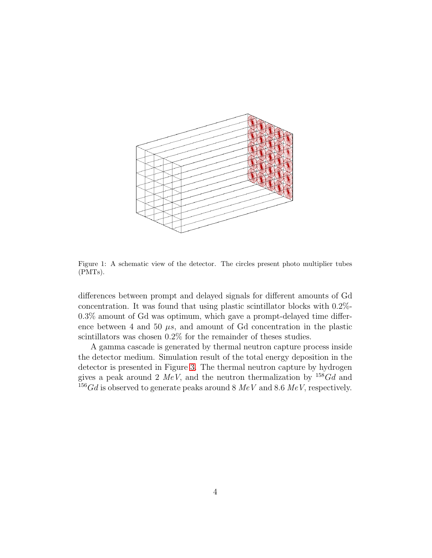

<span id="page-3-0"></span>Figure 1: A schematic view of the detector. The circles present photo multiplier tubes (PMTs).

differences between prompt and delayed signals for different amounts of Gd concentration. It was found that using plastic scintillator blocks with 0.2%- 0.3% amount of Gd was optimum, which gave a prompt-delayed time difference between 4 and 50  $\mu s$ , and amount of Gd concentration in the plastic scintillators was chosen  $0.2\%$  for the remainder of theses studies.

A gamma cascade is generated by thermal neutron capture process inside the detector medium. Simulation result of the total energy deposition in the detector is presented in Figure [3.](#page-4-1) The thermal neutron capture by hydrogen gives a peak around 2  $MeV$ , and the neutron thermalization by  $158Gd$  and <sup>156</sup>Gd is observed to generate peaks around 8 *MeV* and 8.6 *MeV*, respectively.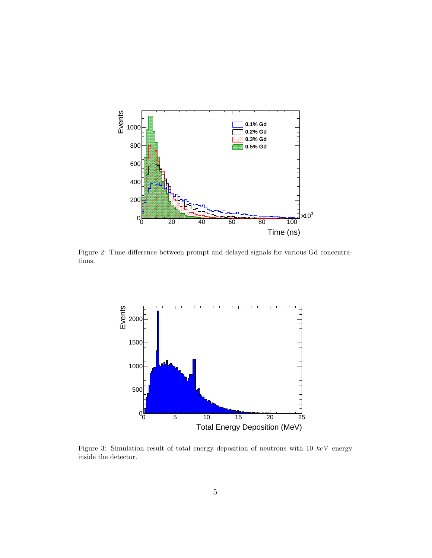

<span id="page-4-0"></span>Figure 2: Time difference between prompt and delayed signals for various Gd concentrations.



<span id="page-4-1"></span>Figure 3: Simulation result of total energy deposition of neutrons with 10 keV energy inside the detector.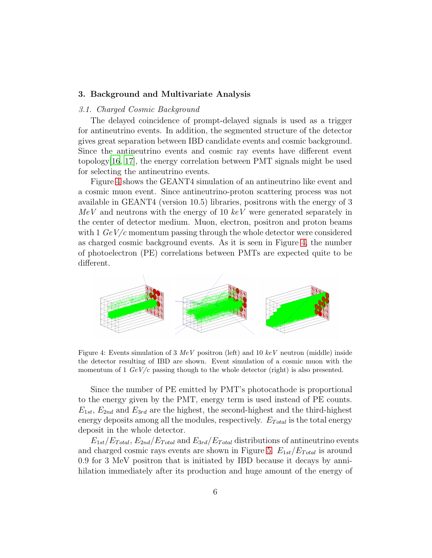#### 3. Background and Multivariate Analysis

#### *3.1. Charged Cosmic Background*

The delayed coincidence of prompt-delayed signals is used as a trigger for antineutrino events. In addition, the segmented structure of the detector gives great separation between IBD candidate events and cosmic background. Since the antineutrino events and cosmic ray events have different event topology[\[16](#page-14-9), [17\]](#page-15-0), the energy correlation between PMT signals might be used for selecting the antineutrino events.

Figure [4](#page-5-0) shows the GEANT4 simulation of an antineutrino like event and a cosmic muon event. Since antineutrino-proton scattering process was not available in GEANT4 (version 10.5) libraries, positrons with the energy of 3 *MeV* and neutrons with the energy of 10 *keV* were generated separately in the center of detector medium. Muon, electron, positron and proton beams with 1  $GeV/c$  momentum passing through the whole detector were considered as charged cosmic background events. As it is seen in Figure [4,](#page-5-0) the number of photoelectron (PE) correlations between PMTs are expected quite to be different.



<span id="page-5-0"></span>Figure 4: Events simulation of 3  $MeV$  positron (left) and 10  $keV$  neutron (middle) inside the detector resulting of IBD are shown. Event simulation of a cosmic muon with the momentum of 1  $GeV/c$  passing though to the whole detector (right) is also presented.

Since the number of PE emitted by PMT's photocathode is proportional to the energy given by the PMT, energy term is used instead of PE counts.  $E_{1st}$ ,  $E_{2nd}$  and  $E_{3rd}$  are the highest, the second-highest and the third-highest energy deposits among all the modules, respectively.  $E_{Total}$  is the total energy deposit in the whole detector.

 $E_{1st}/E_{Total}$ ,  $E_{2nd}/E_{Total}$  and  $E_{3rd}/E_{Total}$  distributions of antineutrino events and charged cosmic rays events are shown in Figure [5.](#page-6-0)  $E_{1st}/E_{Total}$  is around 0.9 for 3 MeV positron that is initiated by IBD because it decays by annihilation immediately after its production and huge amount of the energy of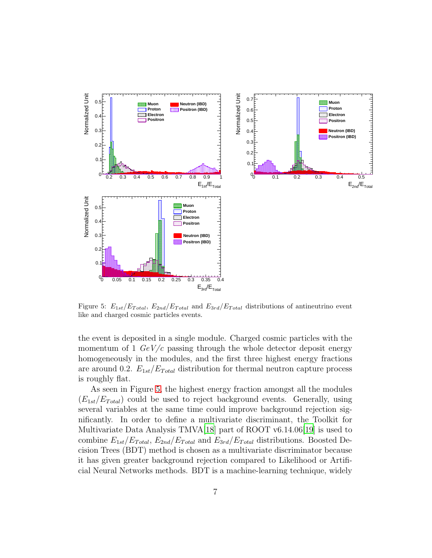

<span id="page-6-0"></span>Figure 5:  $E_{1st}/E_{Total}$ ,  $E_{2nd}/E_{Total}$  and  $E_{3rd}/E_{Total}$  distributions of antineutrino event like and charged cosmic particles events.

the event is deposited in a single module. Charged cosmic particles with the momentum of 1 *GeV/c* passing through the whole detector deposit energy homogeneously in the modules, and the first three highest energy fractions are around 0.2.  $E_{1st}/E_{Total}$  distribution for thermal neutron capture process is roughly flat.

As seen in Figure [5,](#page-6-0) the highest energy fraction amongst all the modules  $(E_{1st}/E_{Total})$  could be used to reject background events. Generally, using several variables at the same time could improve background rejection significantly. In order to define a multivariate discriminant, the Toolkit for Multivariate Data Analysis TMVA[\[18](#page-15-1)] part of ROOT v6.14.06[\[19](#page-15-2)] is used to combine  $E_{1st}/E_{Total}$ ,  $E_{2nd}/E_{Total}$  and  $E_{3rd}/E_{Total}$  distributions. Boosted Decision Trees (BDT) method is chosen as a multivariate discriminator because it has given greater background rejection compared to Likelihood or Artificial Neural Networks methods. BDT is a machine-learning technique, widely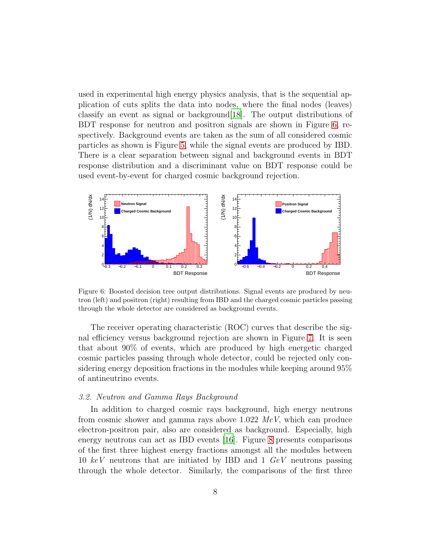used in experimental high energy physics analysis, that is the sequential application of cuts splits the data into nodes, where the final nodes (leaves) classify an event as signal or background[\[18\]](#page-15-1). The output distributions of BDT response for neutron and positron signals are shown in Figure [6,](#page-7-0) respectively. Background events are taken as the sum of all considered cosmic particles as shown is Figure [5,](#page-6-0) while the signal events are produced by IBD. There is a clear separation between signal and background events in BDT response distribution and a discriminant value on BDT response could be used event-by-event for charged cosmic background rejection.



<span id="page-7-0"></span>Figure 6: Boosted decision tree output distributions. Signal events are produced by neutron (left) and positron (right) resulting from IBD and the charged cosmic particles passing through the whole detector are considered as background events.

The receiver operating characteristic (ROC) curves that describe the signal efficiency versus background rejection are shown in Figure [7.](#page-8-0) It is seen that about 90% of events, which are produced by high energetic charged cosmic particles passing through whole detector, could be rejected only considering energy deposition fractions in the modules while keeping around 95% of antineutrino events.

#### *3.2. Neutron and Gamma Rays Background*

In addition to charged cosmic rays background, high energy neutrons from cosmic shower and gamma rays above 1.022 *MeV*, which can produce electron-positron pair, also are considered as background. Especially, high energy neutrons can act as IBD events [\[16\]](#page-14-9). Figure [8](#page-9-0) presents comparisons of the first three highest energy fractions amongst all the modules between 10 *keV* neutrons that are initiated by IBD and 1 *GeV* neutrons passing through the whole detector. Similarly, the comparisons of the first three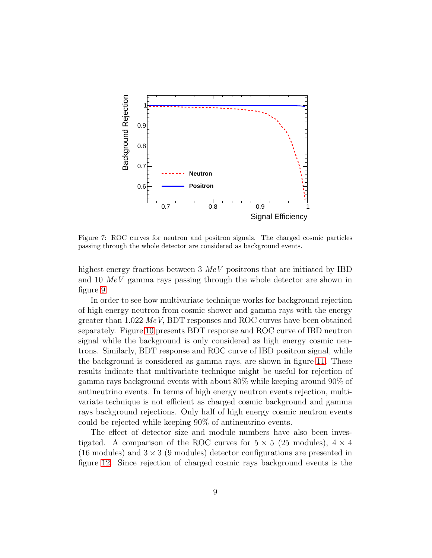

<span id="page-8-0"></span>Figure 7: ROC curves for neutron and positron signals. The charged cosmic particles passing through the whole detector are considered as background events.

highest energy fractions between 3 *MeV* positrons that are initiated by IBD and 10 *MeV* gamma rays passing through the whole detector are shown in figure [9.](#page-10-0)

In order to see how multivariate technique works for background rejection of high energy neutron from cosmic shower and gamma rays with the energy greater than 1.022 *MeV*, BDT responses and ROC curves have been obtained separately. Figure [10](#page-10-1) presents BDT response and ROC curve of IBD neutron signal while the background is only considered as high energy cosmic neutrons. Similarly, BDT response and ROC curve of IBD positron signal, while the background is considered as gamma rays, are shown in figure [11.](#page-11-0) These results indicate that multivariate technique might be useful for rejection of gamma rays background events with about 80% while keeping around 90% of antineutrino events. In terms of high energy neutron events rejection, multivariate technique is not efficient as charged cosmic background and gamma rays background rejections. Only half of high energy cosmic neutron events could be rejected while keeping 90% of antineutrino events.

The effect of detector size and module numbers have also been investigated. A comparison of the ROC curves for  $5 \times 5$  (25 modules),  $4 \times 4$ (16 modules) and  $3 \times 3$  (9 modules) detector configurations are presented in figure [12.](#page-11-1) Since rejection of charged cosmic rays background events is the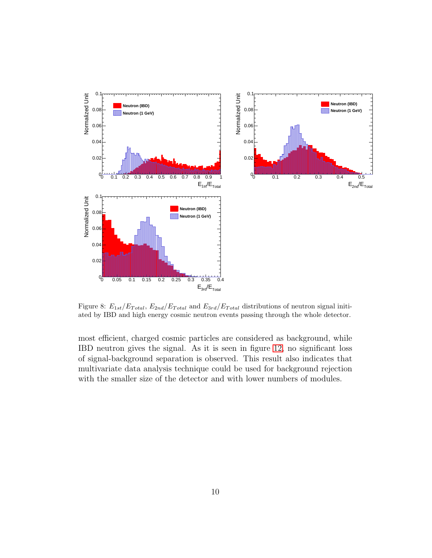

<span id="page-9-0"></span>Figure 8:  $E_{1st}/E_{Total}$ ,  $E_{2nd}/E_{Total}$  and  $E_{3rd}/E_{Total}$  distributions of neutron signal initiated by IBD and high energy cosmic neutron events passing through the whole detector.

most efficient, charged cosmic particles are considered as background, while IBD neutron gives the signal. As it is seen in figure [12,](#page-11-1) no significant loss of signal-background separation is observed. This result also indicates that multivariate data analysis technique could be used for background rejection with the smaller size of the detector and with lower numbers of modules.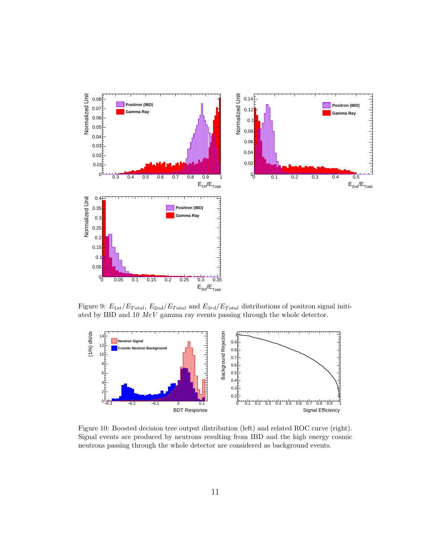

<span id="page-10-0"></span>Figure 9:  $E_{1st}/E_{Total}$ ,  $E_{2nd}/E_{Total}$  and  $E_{3rd}/E_{Total}$  distributions of positron signal initiated by IBD and 10 MeV gamma ray events passing through the whole detector.



<span id="page-10-1"></span>Figure 10: Boosted decision tree output distribution (left) and related ROC curve (right). Signal events are produced by neutrons resulting from IBD and the high energy cosmic neutrons passing through the whole detector are considered as background events.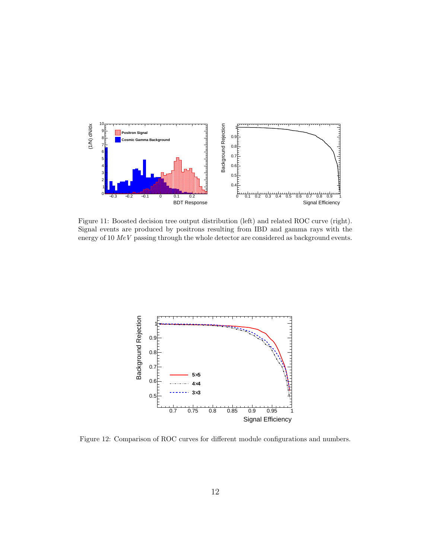

<span id="page-11-0"></span>Figure 11: Boosted decision tree output distribution (left) and related ROC curve (right). Signal events are produced by positrons resulting from IBD and gamma rays with the energy of 10  $MeV$  passing through the whole detector are considered as background events.



<span id="page-11-1"></span>Figure 12: Comparison of ROC curves for different module configurations and numbers.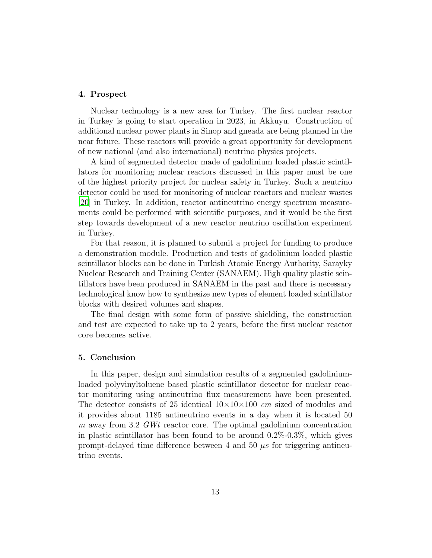## 4. Prospect

Nuclear technology is a new area for Turkey. The first nuclear reactor in Turkey is going to start operation in 2023, in Akkuyu. Construction of additional nuclear power plants in Sinop and gneada are being planned in the near future. These reactors will provide a great opportunity for development of new national (and also international) neutrino physics projects.

A kind of segmented detector made of gadolinium loaded plastic scintillators for monitoring nuclear reactors discussed in this paper must be one of the highest priority project for nuclear safety in Turkey. Such a neutrino detector could be used for monitoring of nuclear reactors and nuclear wastes [\[20\]](#page-15-3) in Turkey. In addition, reactor antineutrino energy spectrum measurements could be performed with scientific purposes, and it would be the first step towards development of a new reactor neutrino oscillation experiment in Turkey.

For that reason, it is planned to submit a project for funding to produce a demonstration module. Production and tests of gadolinium loaded plastic scintillator blocks can be done in Turkish Atomic Energy Authority, Sarayky Nuclear Research and Training Center (SANAEM). High quality plastic scintillators have been produced in SANAEM in the past and there is necessary technological know how to synthesize new types of element loaded scintillator blocks with desired volumes and shapes.

The final design with some form of passive shielding, the construction and test are expected to take up to 2 years, before the first nuclear reactor core becomes active.

# 5. Conclusion

In this paper, design and simulation results of a segmented gadoliniumloaded polyvinyltoluene based plastic scintillator detector for nuclear reactor monitoring using antineutrino flux measurement have been presented. The detector consists of 25 identical 10×10×100 *cm* sized of modules and it provides about 1185 antineutrino events in a day when it is located 50 *m* away from 3.2 *GWt* reactor core. The optimal gadolinium concentration in plastic scintillator has been found to be around  $0.2\%$ - $0.3\%$ , which gives prompt-delayed time difference between 4 and 50  $\mu$ s for triggering antineutrino events.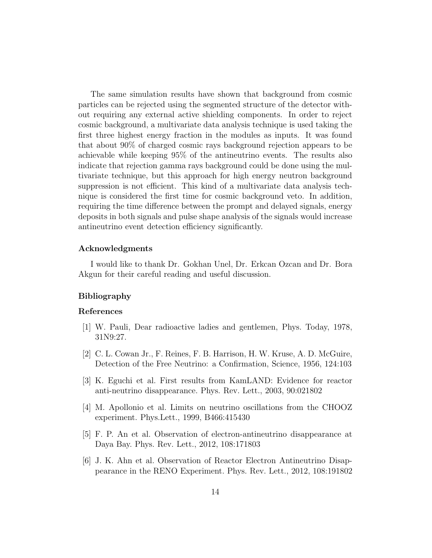The same simulation results have shown that background from cosmic particles can be rejected using the segmented structure of the detector without requiring any external active shielding components. In order to reject cosmic background, a multivariate data analysis technique is used taking the first three highest energy fraction in the modules as inputs. It was found that about 90% of charged cosmic rays background rejection appears to be achievable while keeping 95% of the antineutrino events. The results also indicate that rejection gamma rays background could be done using the multivariate technique, but this approach for high energy neutron background suppression is not efficient. This kind of a multivariate data analysis technique is considered the first time for cosmic background veto. In addition, requiring the time difference between the prompt and delayed signals, energy deposits in both signals and pulse shape analysis of the signals would increase antineutrino event detection efficiency significantly.

# Acknowledgments

I would like to thank Dr. Gokhan Unel, Dr. Erkcan Ozcan and Dr. Bora Akgun for their careful reading and useful discussion.

# Bibliography

## References

- <span id="page-13-0"></span>[1] W. Pauli, Dear radioactive ladies and gentlemen, Phys. Today, 1978, 31N9:27.
- <span id="page-13-1"></span>[2] C. L. Cowan Jr., F. Reines, F. B. Harrison, H. W. Kruse, A. D. McGuire, Detection of the Free Neutrino: a Confirmation, Science, 1956, 124:103
- <span id="page-13-2"></span>[3] K. Eguchi et al. First results from KamLAND: Evidence for reactor anti-neutrino disappearance. Phys. Rev. Lett., 2003, 90:021802
- <span id="page-13-3"></span>[4] M. Apollonio et al. Limits on neutrino oscillations from the CHOOZ experiment. Phys.Lett., 1999, B466:415430
- <span id="page-13-4"></span>[5] F. P. An et al. Observation of electron-antineutrino disappearance at Daya Bay. Phys. Rev. Lett., 2012, 108:171803
- <span id="page-13-5"></span>[6] J. K. Ahn et al. Observation of Reactor Electron Antineutrino Disappearance in the RENO Experiment. Phys. Rev. Lett., 2012, 108:191802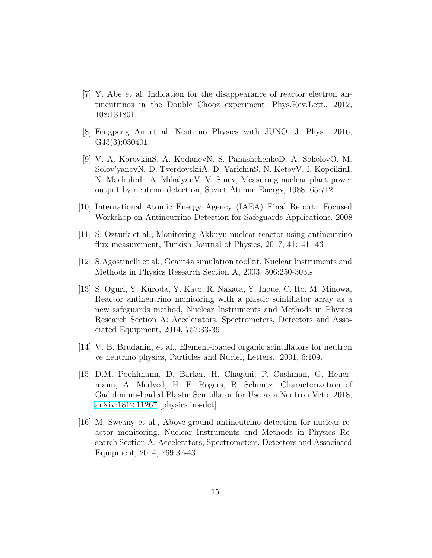- <span id="page-14-0"></span>[7] Y. Abe et al. Indication for the disappearance of reactor electron antineutrinos in the Double Chooz experiment. Phys.Rev.Lett., 2012, 108:131801.
- <span id="page-14-1"></span>[8] Fengpeng An et al. Neutrino Physics with JUNO. J. Phys., 2016, G43(3):030401.
- <span id="page-14-2"></span>[9] V. A. KorovkinS. A. KodanevN. S. PanashchenkoD. A. SokolovO. M. Solov'yanovN. D. TverdovskiiA. D. YarichinS. N. KetovV. I. KopeikinI. N. MachulinL. A. MikalyanV. V. Sinev, Measuring nuclear plant power output by neutrino detection, Soviet Atomic Energy, 1988, 65:712
- <span id="page-14-3"></span>[10] International Atomic Energy Agency (IAEA) Final Report: Focused Workshop on Antineutrino Detection for Safeguards Applications, 2008
- <span id="page-14-4"></span>[11] S. Ozturk et al., Monitoring Akkuyu nuclear reactor using antineutrino flux measurement, Turkish Journal of Physics, 2017, 41: 41 46
- <span id="page-14-5"></span>[12] S.Agostinelli et al., Geant4a simulation toolkit, Nuclear Instruments and Methods in Physics Research Section A, 2003, 506:250-303.s
- <span id="page-14-6"></span>[13] S. Oguri, Y. Kuroda, Y. Kato, R. Nakata, Y. Inoue, C. Ito, M. Minowa, Reactor antineutrino monitoring with a plastic scintillator array as a new safeguards method, Nuclear Instruments and Methods in Physics Research Section A: Accelerators, Spectrometers, Detectors and Associated Equipment, 2014, 757:33-39
- <span id="page-14-7"></span>[14] V. B. Brudanin, et al., Element-loaded organic scintillators for neutron ve neutrino physics, Particles and Nuclei, Letters., 2001, 6:109.
- <span id="page-14-8"></span>[15] D.M. Poehlmann, D. Barker, H. Chagani, P. Cushman, G. Heuermann, A. Medved, H. E. Rogers, R. Schmitz, Characterization of Gadolinium-loaded Plastic Scintillator for Use as a Neutron Veto, 2018, [arXiv:1812.11267](http://arxiv.org/abs/1812.11267) [physics.ins-det]
- <span id="page-14-9"></span>[16] M. Sweany et al., Above-ground antineutrino detection for nuclear reactor monitoring, Nuclear Instruments and Methods in Physics Research Section A: Accelerators, Spectrometers, Detectors and Associated Equipment, 2014, 769:37-43